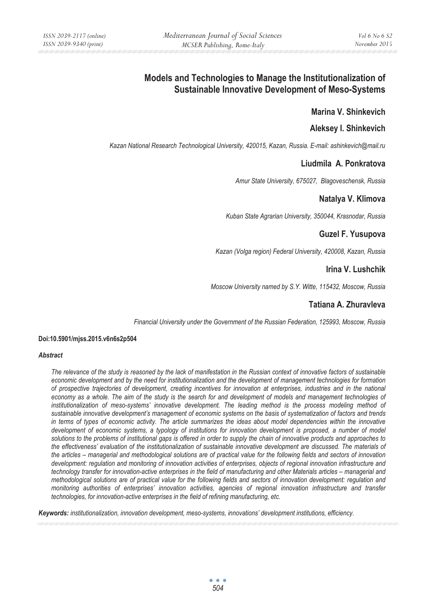# **Models and Technologies to Manage the Institutionalization of Sustainable Innovative Development of Meso-Systems**

## **Marina V. Shinkevich**

### **Aleksey I. Shinkevich**

*Kazan National Research Technological University, 420015, Kazan, Russia. E-mail: ashinkevich@mail.ru* 

### **Liudmila A. Ponkratova**

*Amur State University, 675027, Blagoveschensk, Russia* 

### **Natalya V. Klimova**

*Kuban State Agrarian University, 350044, Krasnodar, Russia* 

### **Guzel F. Yusupova**

*Kazan (Volga region) Federal University, 420008, Kazan, Russia* 

# **Irina V. Lushchik**

*Moscow University named by S.Y. Witte, 115432, Moscow, Russia* 

# **Tatiana A. Zhuravleva**

*Financial University under the Government of the Russian Federation, 125993, Moscow, Russia* 

#### **Doi:10.5901/mjss.2015.v6n6s2p504**

#### *Abstract*

*The relevance of the study is reasoned by the lack of manifestation in the Russian context of innovative factors of sustainable economic development and by the need for institutionalization and the development of management technologies for formation of prospective trajectories of development, creating incentives for innovation at enterprises, industries and in the national*  economy as a whole. The aim of the study is the search for and development of models and management technologies of institutionalization of meso-systems' innovative development. The leading method is the process modeling method of *sustainable innovative development's management of economic systems on the basis of systematization of factors and trends in terms of types of economic activity. The article summarizes the ideas about model dependencies within the innovative development of economic systems, a typology of institutions for innovation development is proposed, a number of model solutions to the problems of institutional gaps is offered in order to supply the chain of innovative products and approaches to the effectiveness' evaluation of the institutionalization of sustainable innovative development are discussed. The materials of the articles – managerial and methodological solutions are of practical value for the following fields and sectors of innovation development: regulation and monitoring of innovation activities of enterprises, objects of regional innovation infrastructure and technology transfer for innovation-active enterprises in the field of manufacturing and other Materials articles – managerial and methodological solutions are of practical value for the following fields and sectors of innovation development: regulation and monitoring authorities of enterprises' innovation activities, agencies of regional innovation infrastructure and transfer technologies, for innovation-active enterprises in the field of refining manufacturing, etc.* 

*Keywords: institutionalization, innovation development, meso-systems, innovations' development institutions, efficiency.*

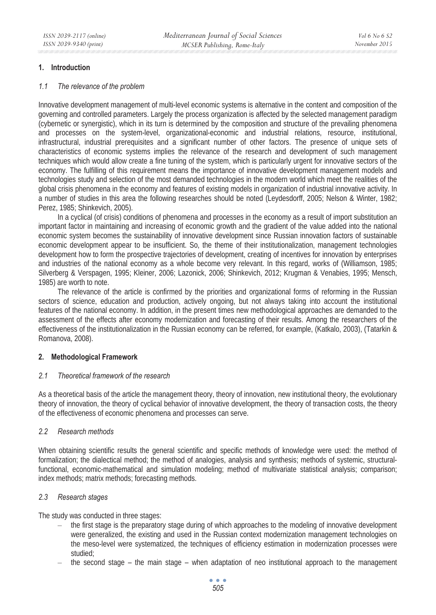#### **1. Introduction**

#### *1.1 The relevance of the problem*

Innovative development management of multi-level economic systems is alternative in the content and composition of the governing and controlled parameters. Largely the process organization is affected by the selected management paradigm (cybernetic or synergistic), which in its turn is determined by the composition and structure of the prevailing phenomena and processes on the system-level, organizational-economic and industrial relations, resource, institutional, infrastructural, industrial prerequisites and a significant number of other factors. The presence of unique sets of characteristics of economic systems implies the relevance of the research and development of such management techniques which would allow create a fine tuning of the system, which is particularly urgent for innovative sectors of the economy. The fulfilling of this requirement means the importance of innovative development management models and technologies study and selection of the most demanded technologies in the modern world which meet the realities of the global crisis phenomena in the economy and features of existing models in organization of industrial innovative activity. In a number of studies in this area the following researches should be noted (Leydesdorff, 2005; Nelson & Winter, 1982; Perez, 1985; Shinkevich, 2005).

In a cyclical (of crisis) conditions of phenomena and processes in the economy as a result of import substitution an important factor in maintaining and increasing of economic growth and the gradient of the value added into the national economic system becomes the sustainability of innovative development since Russian innovation factors of sustainable economic development appear to be insufficient. So, the theme of their institutionalization, management technologies development how to form the prospective trajectories of development, creating of incentives for innovation by enterprises and industries of the national economy as a whole become very relevant. In this regard, works of (Williamson, 1985; Silverberg & Verspagen, 1995; Kleiner, 2006; Lazonick, 2006; Shinkevich, 2012; Krugman & Venabies, 1995; Mensch, 1985) are worth to note.

The relevance of the article is confirmed by the priorities and organizational forms of reforming in the Russian sectors of science, education and production, actively ongoing, but not always taking into account the institutional features of the national economy. In addition, in the present times new methodological approaches are demanded to the assessment of the effects after economy modernization and forecasting of their results. Among the researchers of the effectiveness of the institutionalization in the Russian economy can be referred, for example, (Katkalo, 2003), (Tatarkin & Romanova, 2008).

#### **2. Methodological Framework**

#### *2.1 Theoretical framework of the research*

As a theoretical basis of the article the management theory, theory of innovation, new institutional theory, the evolutionary theory of innovation, the theory of cyclical behavior of innovative development, the theory of transaction costs, the theory of the effectiveness of economic phenomena and processes can serve.

### *2.2 Research methods*

When obtaining scientific results the general scientific and specific methods of knowledge were used: the method of formalization; the dialectical method; the method of analogies, analysis and synthesis; methods of systemic, structuralfunctional, economic-mathematical and simulation modeling; method of multivariate statistical analysis; comparison; index methods; matrix methods; forecasting methods.

### *2.3 Research stages*

The study was conducted in three stages:

- the first stage is the preparatory stage during of which approaches to the modeling of innovative development were generalized, the existing and used in the Russian context modernization management technologies on the meso-level were systematized, the techniques of efficiency estimation in modernization processes were studied;
- the second stage the main stage when adaptation of neo institutional approach to the management

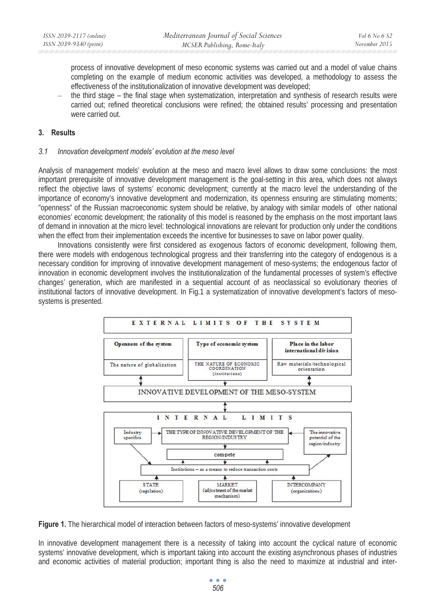process of innovative development of meso economic systems was carried out and a model of value chains completing on the example of medium economic activities was developed, a methodology to assess the effectiveness of the institutionalization of innovative development was developed;

– the third stage – the final stage when systematization, interpretation and synthesis of research results were carried out; refined theoretical conclusions were refined; the obtained results' processing and presentation were carried out.

### **3. Results**

#### *3.1 Innovation development models' evolution at the meso level*

Analysis of management models' evolution at the meso and macro level allows to draw some conclusions: the most important prerequisite of innovative development management is the goal-setting in this area, which does not always reflect the objective laws of systems' economic development; currently at the macro level the understanding of the importance of economy's innovative development and modernization, its openness ensuring are stimulating moments; "openness" of the Russian macroeconomic system should be relative, by analogy with similar models of other national economies' economic development; the rationality of this model is reasoned by the emphasis on the most important laws of demand in innovation at the micro level: technological innovations are relevant for production only under the conditions when the effect from their implementation exceeds the incentive for businesses to save on labor power quality.

Innovations consistently were first considered as exogenous factors of economic development, following them, there were models with endogenous technological progress and their transferring into the category of endogenous is a necessary condition for improving of innovative development management of meso-systems; the endogenous factor of innovation in economic development involves the institutionalization of the fundamental processes of system's effective changes' generation, which are manifested in a sequential account of as neoclassical so evolutionary theories of institutional factors of innovative development. In Fig.1 a systematization of innovative development's factors of mesosystems is presented.





In innovative development management there is a necessity of taking into account the cyclical nature of economic systems' innovative development, which is important taking into account the existing asynchronous phases of industries and economic activities of material production; important thing is also the need to maximize at industrial and inter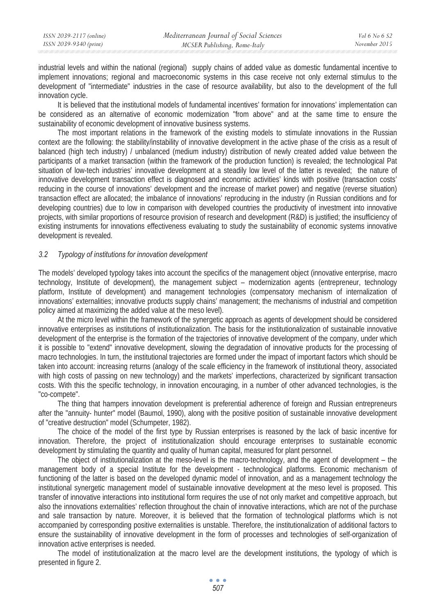industrial levels and within the national (regional) supply chains of added value as domestic fundamental incentive to implement innovations; regional and macroeconomic systems in this case receive not only external stimulus to the development of "intermediate" industries in the case of resource availability, but also to the development of the full innovation cycle.

It is believed that the institutional models of fundamental incentives' formation for innovations' implementation can be considered as an alternative of economic modernization "from above" and at the same time to ensure the sustainability of economic development of innovative business systems.

The most important relations in the framework of the existing models to stimulate innovations in the Russian context are the following: the stability/instability of innovative development in the active phase of the crisis as a result of balanced (high tech industry) / unbalanced (medium industry) distribution of newly created added value between the participants of a market transaction (within the framework of the production function) is revealed; the technological Pat situation of low-tech industries' innovative development at a steadily low level of the latter is revealed; the nature of innovative development transaction effect is diagnosed and economic activities' kinds with positive (transaction costs' reducing in the course of innovations' development and the increase of market power) and negative (reverse situation) transaction effect are allocated; the imbalance of innovations' reproducing in the industry (in Russian conditions and for developing countries) due to low in comparison with developed countries the productivity of investment into innovative projects, with similar proportions of resource provision of research and development (R&D) is justified; the insufficiency of existing instruments for innovations effectiveness evaluating to study the sustainability of economic systems innovative development is revealed.

### *3.2 Typology of institutions for innovation development*

The models' developed typology takes into account the specifics of the management object (innovative enterprise, macro technology, Institute of development), the management subject – modernization agents (entrepreneur, technology platform, Institute of development) and management technologies (compensatory mechanism of internalization of innovations' externalities; innovative products supply chains' management; the mechanisms of industrial and competition policy aimed at maximizing the added value at the meso level).

At the micro level within the framework of the synergetic approach as agents of development should be considered innovative enterprises as institutions of institutionalization. The basis for the institutionalization of sustainable innovative development of the enterprise is the formation of the trajectories of innovative development of the company, under which it is possible to "extend" innovative development, slowing the degradation of innovative products for the processing of macro technologies. In turn, the institutional trajectories are formed under the impact of important factors which should be taken into account: increasing returns (analogy of the scale efficiency in the framework of institutional theory, associated with high costs of passing on new technology) and the markets' imperfections, characterized by significant transaction costs. With this the specific technology, in innovation encouraging, in a number of other advanced technologies, is the "co-compete".

The thing that hampers innovation development is preferential adherence of foreign and Russian entrepreneurs after the "annuity- hunter" model (Baumol, 1990), along with the positive position of sustainable innovative development of "creative destruction" model (Schumpeter, 1982).

The choice of the model of the first type by Russian enterprises is reasoned by the lack of basic incentive for innovation. Therefore, the project of institutionalization should encourage enterprises to sustainable economic development by stimulating the quantity and quality of human capital, measured for plant personnel.

The object of institutionalization at the meso-level is the macro-technology, and the agent of development – the management body of a special Institute for the development - technological platforms. Economic mechanism of functioning of the latter is based on the developed dynamic model of innovation, and as a management technology the institutional synergetic management model of sustainable innovative development at the meso level is proposed. This transfer of innovative interactions into institutional form requires the use of not only market and competitive approach, but also the innovations externalities' reflection throughout the chain of innovative interactions, which are not of the purchase and sale transaction by nature. Moreover, it is believed that the formation of technological platforms which is not accompanied by corresponding positive externalities is unstable. Therefore, the institutionalization of additional factors to ensure the sustainability of innovative development in the form of processes and technologies of self-organization of innovation active enterprises is needed.

The model of institutionalization at the macro level are the development institutions, the typology of which is presented in figure 2.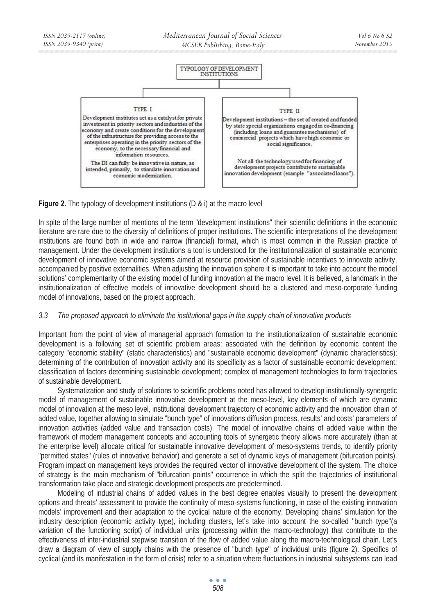

**Figure 2.** The typology of development institutions (D & i) at the macro level

In spite of the large number of mentions of the term "development institutions" their scientific definitions in the economic literature are rare due to the diversity of definitions of proper institutions. The scientific interpretations of the development institutions are found both in wide and narrow (financial) format, which is most common in the Russian practice of management. Under the development institutions a tool is understood for the institutionalization of sustainable economic development of innovative economic systems aimed at resource provision of sustainable incentives to innovate activity, accompanied by positive externalities. When adjusting the innovation sphere it is important to take into account the model solutions' complementarity of the existing model of funding innovation at the macro level. It is believed, a landmark in the institutionalization of effective models of innovative development should be a clustered and meso-corporate funding model of innovations, based on the project approach.

### *3.3 The proposed approach to eliminate the institutional gaps in the supply chain of innovative products*

Important from the point of view of managerial approach formation to the institutionalization of sustainable economic development is a following set of scientific problem areas: associated with the definition by economic content the category "economic stability" (static characteristics) and "sustainable economic development" (dynamic characteristics); determining of the contribution of innovation activity and its specificity as a factor of sustainable economic development; classification of factors determining sustainable development; complex of management technologies to form trajectories of sustainable development.

Systematization and study of solutions to scientific problems noted has allowed to develop institutionally-synergetic model of management of sustainable innovative development at the meso-level, key elements of which are dynamic model of innovation at the meso level, institutional development trajectory of economic activity and the innovation chain of added value, together allowing to simulate "bunch type" of innovations diffusion process, results' and costs' parameters of innovation activities (added value and transaction costs). The model of innovative chains of added value within the framework of modern management concepts and accounting tools of synergetic theory allows more accurately (than at the enterprise level) allocate critical for sustainable innovative development of meso-systems trends, to identify priority "permitted states" (rules of innovative behavior) and generate a set of dynamic keys of management (bifurcation points). Program impact on management keys provides the required vector of innovative development of the system. The choice of strategy is the main mechanism of "bifurcation points" occurrence in which the split the trajectories of institutional transformation take place and strategic development prospects are predetermined.

Modeling of industrial chains of added values in the best degree enables visually to present the development options and threats' assessment to provide the continuity of meso-systems functioning, in case of the existing innovation models' improvement and their adaptation to the cyclical nature of the economy. Developing chains' simulation for the industry description (economic activity type), including clusters, let's take into account the so-called "bunch type"(a variation of the functioning script) of individual units (processing within the macro-technology) that contribute to the effectiveness of inter-industrial stepwise transition of the flow of added value along the macro-technological chain. Let's draw a diagram of view of supply chains with the presence of "bunch type" of individual units (figure 2). Specifics of cyclical (and its manifestation in the form of crisis) refer to a situation where fluctuations in industrial subsystems can lead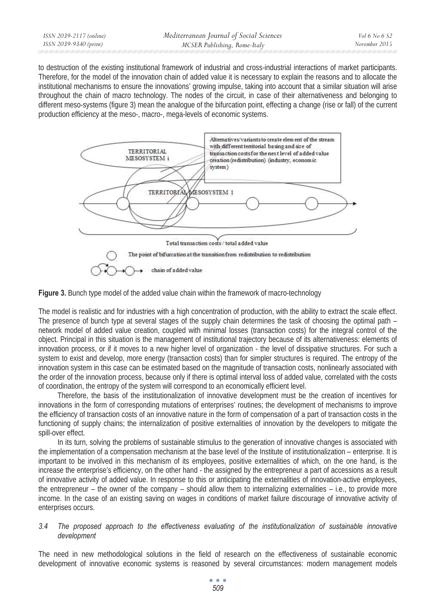to destruction of the existing institutional framework of industrial and cross-industrial interactions of market participants. Therefore, for the model of the innovation chain of added value it is necessary to explain the reasons and to allocate the institutional mechanisms to ensure the innovations' growing impulse, taking into account that a similar situation will arise throughout the chain of macro technology. The nodes of the circuit, in case of their alternativeness and belonging to different meso-systems (figure 3) mean the analogue of the bifurcation point, effecting a change (rise or fall) of the current production efficiency at the meso-, macro-, mega-levels of economic systems.





The model is realistic and for industries with a high concentration of production, with the ability to extract the scale effect. The presence of bunch type at several stages of the supply chain determines the task of choosing the optimal path – network model of added value creation, coupled with minimal losses (transaction costs) for the integral control of the object. Principal in this situation is the management of institutional trajectory because of its alternativeness: elements of innovation process, or if it moves to a new higher level of organization - the level of dissipative structures. For such a system to exist and develop, more energy (transaction costs) than for simpler structures is required. The entropy of the innovation system in this case can be estimated based on the magnitude of transaction costs, nonlinearly associated with the order of the innovation process, because only if there is optimal interval loss of added value, correlated with the costs of coordination, the entropy of the system will correspond to an economically efficient level.

Therefore, the basis of the institutionalization of innovative development must be the creation of incentives for innovations in the form of corresponding mutations of enterprises' routines; the development of mechanisms to improve the efficiency of transaction costs of an innovative nature in the form of compensation of a part of transaction costs in the functioning of supply chains; the internalization of positive externalities of innovation by the developers to mitigate the spill-over effect.

In its turn, solving the problems of sustainable stimulus to the generation of innovative changes is associated with the implementation of a compensation mechanism at the base level of the Institute of institutionalization – enterprise. It is important to be involved in this mechanism of its employees, positive externalities of which, on the one hand, is the increase the enterprise's efficiency, on the other hand - the assigned by the entrepreneur a part of accessions as a result of innovative activity of added value. In response to this or anticipating the externalities of innovation-active employees, the entrepreneur – the owner of the company – should allow them to internalizing externalities – i.e., to provide more income. In the case of an existing saving on wages in conditions of market failure discourage of innovative activity of enterprises occurs.

### *3.4 The proposed approach to the effectiveness evaluating of the institutionalization of sustainable innovative development*

The need in new methodological solutions in the field of research on the effectiveness of sustainable economic development of innovative economic systems is reasoned by several circumstances: modern management models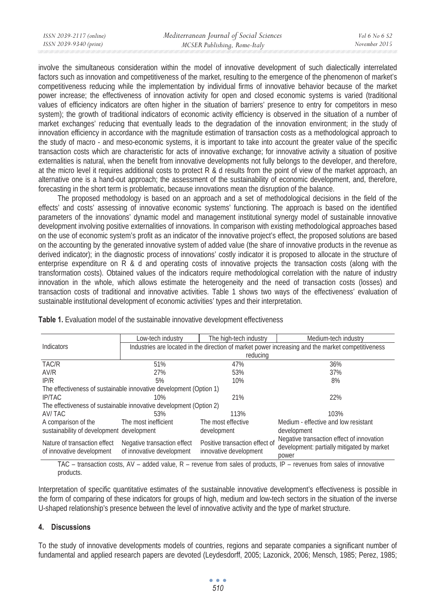involve the simultaneous consideration within the model of innovative development of such dialectically interrelated factors such as innovation and competitiveness of the market, resulting to the emergence of the phenomenon of market's competitiveness reducing while the implementation by individual firms of innovative behavior because of the market power increase; the effectiveness of innovation activity for open and closed economic systems is varied (traditional values of efficiency indicators are often higher in the situation of barriers' presence to entry for competitors in meso system); the growth of traditional indicators of economic activity efficiency is observed in the situation of a number of market exchanges' reducing that eventually leads to the degradation of the innovation environment; in the study of innovation efficiency in accordance with the magnitude estimation of transaction costs as a methodological approach to the study of macro - and meso-economic systems, it is important to take into account the greater value of the specific transaction costs which are characteristic for acts of innovative exchange; for innovative activity a situation of positive externalities is natural, when the benefit from innovative developments not fully belongs to the developer, and therefore, at the micro level it requires additional costs to protect R & d results from the point of view of the market approach, an alternative one is a hand-out approach; the assessment of the sustainability of economic development, and, therefore, forecasting in the short term is problematic, because innovations mean the disruption of the balance.

The proposed methodology is based on an approach and a set of methodological decisions in the field of the effects' and costs' assessing of innovative economic systems' functioning. The approach is based on the identified parameters of the innovations' dynamic model and management institutional synergy model of sustainable innovative development involving positive externalities of innovations. In comparison with existing methodological approaches based on the use of economic system's profit as an indicator of the innovative project's effect, the proposed solutions are based on the accounting by the generated innovative system of added value (the share of innovative products in the revenue as derived indicator); in the diagnostic process of innovations' costly indicator it is proposed to allocate in the structure of enterprise expenditure on R & d and operating costs of innovative projects the transaction costs (along with the transformation costs). Obtained values of the indicators require methodological correlation with the nature of industry innovation in the whole, which allows estimate the heterogeneity and the need of transaction costs (losses) and transaction costs of traditional and innovative activities. Table 1 shows two ways of the effectiveness' evaluation of sustainable institutional development of economic activities' types and their interpretation.

|                                                                    | Low-tech industry                                                                                 | The high-tech industry                                   | Medium-tech industry                                                                             |
|--------------------------------------------------------------------|---------------------------------------------------------------------------------------------------|----------------------------------------------------------|--------------------------------------------------------------------------------------------------|
| Indicators                                                         | Industries are located in the direction of market power increasing and the market competitiveness |                                                          |                                                                                                  |
|                                                                    | reducing                                                                                          |                                                          |                                                                                                  |
| TAC/R                                                              | 51%                                                                                               | 47%                                                      | 36%                                                                                              |
| AV/R                                                               | 27%                                                                                               | 53%                                                      | 37%                                                                                              |
| IP/R                                                               | 5%                                                                                                | 10%                                                      | 8%                                                                                               |
| The effectiveness of sustainable innovative development (Option 1) |                                                                                                   |                                                          |                                                                                                  |
| <b>IP/TAC</b>                                                      | 10%                                                                                               | 21%                                                      | 22%                                                                                              |
| The effectiveness of sustainable innovative development (Option 2) |                                                                                                   |                                                          |                                                                                                  |
| AV/TAC                                                             | 53%                                                                                               | 113%                                                     | 103%                                                                                             |
| A comparison of the                                                | The most inefficient                                                                              | The most effective                                       | Medium - effective and low resistant                                                             |
| sustainability of development development                          |                                                                                                   | development                                              | development                                                                                      |
| Nature of transaction effect<br>of innovative development          | Negative transaction effect<br>of innovative development                                          | Positive transaction effect of<br>innovative development | Negative transaction effect of innovation<br>development: partially mitigated by market<br>power |

**Table 1.** Evaluation model of the sustainable innovative development effectiveness

TAC – transaction costs, AV – added value, R – revenue from sales of products, IP – revenues from sales of innovative products.

Interpretation of specific quantitative estimates of the sustainable innovative development's effectiveness is possible in the form of comparing of these indicators for groups of high, medium and low-tech sectors in the situation of the inverse U-shaped relationship's presence between the level of innovative activity and the type of market structure.

### **4. Discussions**

To the study of innovative developments models of countries, regions and separate companies a significant number of fundamental and applied research papers are devoted (Leydesdorff, 2005; Lazonick, 2006; Mensch, 1985; Perez, 1985;